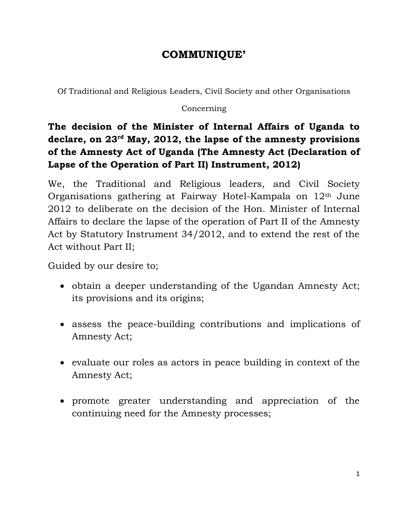## **COMMUNIQUE'**

Of Traditional and Religious Leaders, Civil Society and other Organisations

## Concerning

**The decision of the Minister of Internal Affairs of Uganda to declare, on 23rd May, 2012, the lapse of the amnesty provisions of the Amnesty Act of Uganda (The Amnesty Act (Declaration of Lapse of the Operation of Part II) Instrument, 2012)**

We, the Traditional and Religious leaders, and Civil Society Organisations gathering at Fairway Hotel-Kampala on 12th June 2012 to deliberate on the decision of the Hon. Minister of Internal Affairs to declare the lapse of the operation of Part II of the Amnesty Act by Statutory Instrument 34/2012, and to extend the rest of the Act without Part II;

Guided by our desire to;

- obtain a deeper understanding of the Ugandan Amnesty Act; its provisions and its origins;
- assess the peace-building contributions and implications of Amnesty Act;
- evaluate our roles as actors in peace building in context of the Amnesty Act;
- promote greater understanding and appreciation of the continuing need for the Amnesty processes;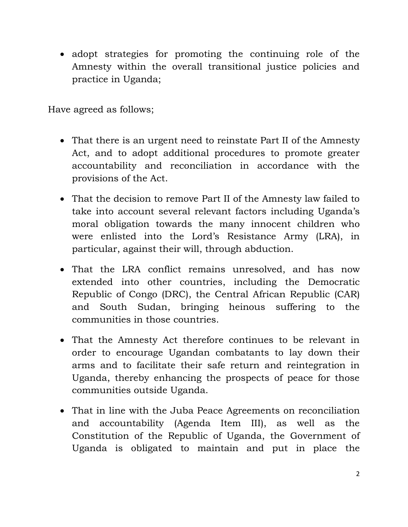• adopt strategies for promoting the continuing role of the Amnesty within the overall transitional justice policies and practice in Uganda;

Have agreed as follows;

- That there is an urgent need to reinstate Part II of the Amnesty Act, and to adopt additional procedures to promote greater accountability and reconciliation in accordance with the provisions of the Act.
- That the decision to remove Part II of the Amnesty law failed to take into account several relevant factors including Uganda's moral obligation towards the many innocent children who were enlisted into the Lord's Resistance Army (LRA), in particular, against their will, through abduction.
- That the LRA conflict remains unresolved, and has now extended into other countries, including the Democratic Republic of Congo (DRC), the Central African Republic (CAR) and South Sudan, bringing heinous suffering to the communities in those countries.
- That the Amnesty Act therefore continues to be relevant in order to encourage Ugandan combatants to lay down their arms and to facilitate their safe return and reintegration in Uganda, thereby enhancing the prospects of peace for those communities outside Uganda.
- That in line with the Juba Peace Agreements on reconciliation and accountability (Agenda Item III), as well as the Constitution of the Republic of Uganda, the Government of Uganda is obligated to maintain and put in place the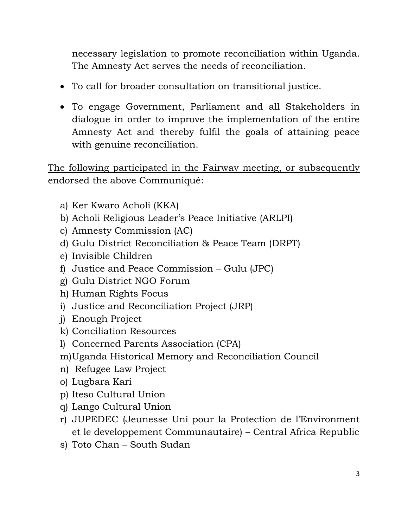necessary legislation to promote reconciliation within Uganda. The Amnesty Act serves the needs of reconciliation.

- To call for broader consultation on transitional justice.
- To engage Government, Parliament and all Stakeholders in dialogue in order to improve the implementation of the entire Amnesty Act and thereby fulfil the goals of attaining peace with genuine reconciliation.

The following participated in the Fairway meeting, or subsequently endorsed the above Communiqué:

- a) Ker Kwaro Acholi (KKA)
- b) Acholi Religious Leader's Peace Initiative (ARLPI)
- c) Amnesty Commission (AC)
- d) Gulu District Reconciliation & Peace Team (DRPT)
- e) Invisible Children
- f) Justice and Peace Commission Gulu (JPC)
- g) Gulu District NGO Forum
- h) Human Rights Focus
- i) Justice and Reconciliation Project (JRP)
- j) Enough Project
- k) Conciliation Resources
- l) Concerned Parents Association (CPA)
- m)Uganda Historical Memory and Reconciliation Council
- n) Refugee Law Project
- o) Lugbara Kari
- p) Iteso Cultural Union
- q) Lango Cultural Union
- r) JUPEDEC (Jeunesse Uni pour la Protection de l'Environment et le developpement Communautaire) – Central Africa Republic
- s) Toto Chan South Sudan